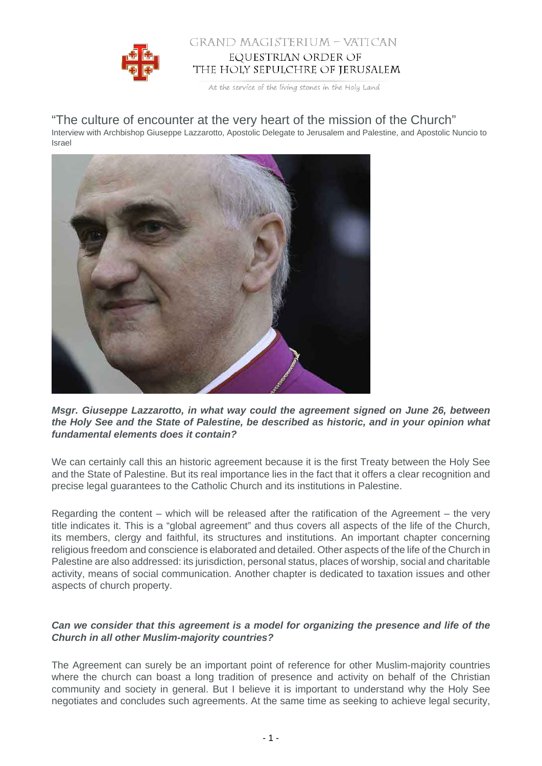

## GRAND MAGISTERIUM – VATICAN EQUESTRIAN ORDER OF THE HOLY SEPULCHRE OF JERUSALEM

At the service of the living stones in the Holy Land

# "The culture of encounter at the very heart of the mission of the Church"

Interview with Archbishop Giuseppe Lazzarotto, Apostolic Delegate to Jerusalem and Palestine, and Apostolic Nuncio to Israel



**Msgr. Giuseppe Lazzarotto, in what way could the agreement signed on June 26, between the Holy See and the State of Palestine, be described as historic, and in your opinion what fundamental elements does it contain?**

We can certainly call this an historic agreement because it is the first Treaty between the Holy See and the State of Palestine. But its real importance lies in the fact that it offers a clear recognition and precise legal guarantees to the Catholic Church and its institutions in Palestine.

Regarding the content – which will be released after the ratification of the Agreement – the very title indicates it. This is a "global agreement" and thus covers all aspects of the life of the Church, its members, clergy and faithful, its structures and institutions. An important chapter concerning religious freedom and conscience is elaborated and detailed. Other aspects of the life of the Church in Palestine are also addressed: its jurisdiction, personal status, places of worship, social and charitable activity, means of social communication. Another chapter is dedicated to taxation issues and other aspects of church property.

## **Can we consider that this agreement is a model for organizing the presence and life of the Church in all other Muslim-majority countries?**

The Agreement can surely be an important point of reference for other Muslim-majority countries where the church can boast a long tradition of presence and activity on behalf of the Christian community and society in general. But I believe it is important to understand why the Holy See negotiates and concludes such agreements. At the same time as seeking to achieve legal security,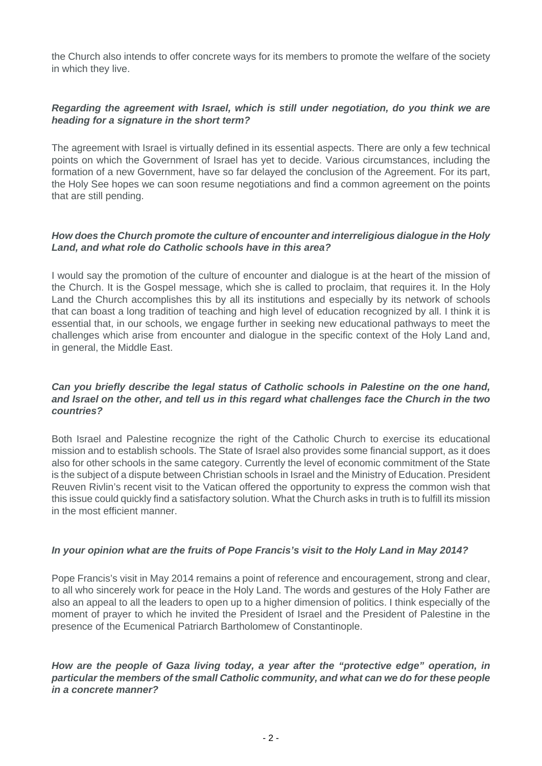the Church also intends to offer concrete ways for its members to promote the welfare of the society in which they live.

## **Regarding the agreement with Israel, which is still under negotiation, do you think we are heading for a signature in the short term?**

The agreement with Israel is virtually defined in its essential aspects. There are only a few technical points on which the Government of Israel has yet to decide. Various circumstances, including the formation of a new Government, have so far delayed the conclusion of the Agreement. For its part, the Holy See hopes we can soon resume negotiations and find a common agreement on the points that are still pending.

#### **How does the Church promote the culture of encounter and interreligious dialogue in the Holy Land, and what role do Catholic schools have in this area?**

I would say the promotion of the culture of encounter and dialogue is at the heart of the mission of the Church. It is the Gospel message, which she is called to proclaim, that requires it. In the Holy Land the Church accomplishes this by all its institutions and especially by its network of schools that can boast a long tradition of teaching and high level of education recognized by all. I think it is essential that, in our schools, we engage further in seeking new educational pathways to meet the challenges which arise from encounter and dialogue in the specific context of the Holy Land and, in general, the Middle East.

#### **Can you briefly describe the legal status of Catholic schools in Palestine on the one hand, and Israel on the other, and tell us in this regard what challenges face the Church in the two countries?**

Both Israel and Palestine recognize the right of the Catholic Church to exercise its educational mission and to establish schools. The State of Israel also provides some financial support, as it does also for other schools in the same category. Currently the level of economic commitment of the State is the subject of a dispute between Christian schools in Israel and the Ministry of Education. President Reuven Rivlin's recent visit to the Vatican offered the opportunity to express the common wish that this issue could quickly find a satisfactory solution. What the Church asks in truth is to fulfill its mission in the most efficient manner.

#### **In your opinion what are the fruits of Pope Francis's visit to the Holy Land in May 2014?**

Pope Francis's visit in May 2014 remains a point of reference and encouragement, strong and clear, to all who sincerely work for peace in the Holy Land. The words and gestures of the Holy Father are also an appeal to all the leaders to open up to a higher dimension of politics. I think especially of the moment of prayer to which he invited the President of Israel and the President of Palestine in the presence of the Ecumenical Patriarch Bartholomew of Constantinople.

**How are the people of Gaza living today, a year after the "protective edge" operation, in particular the members of the small Catholic community, and what can we do for these people in a concrete manner?**